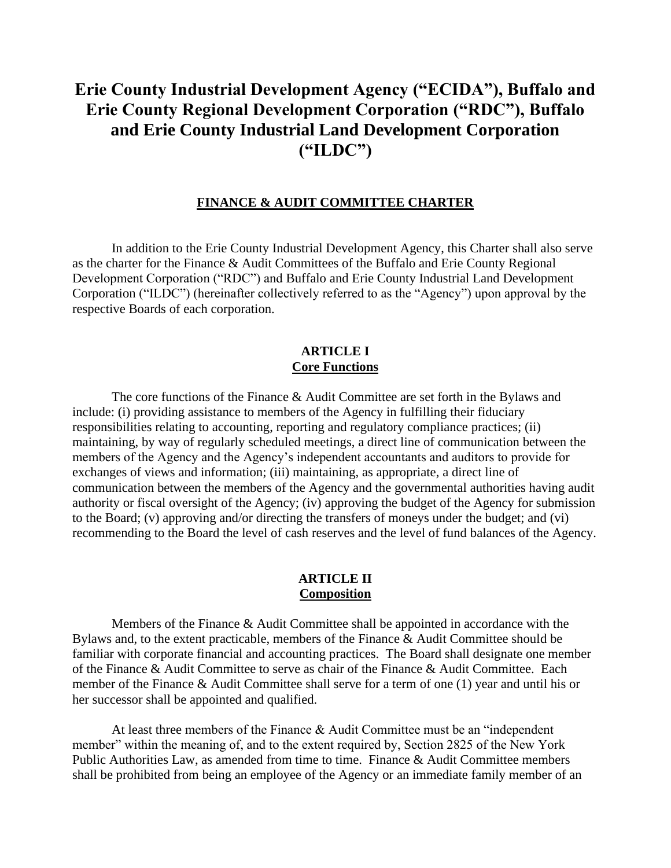# **Erie County Industrial Development Agency ("ECIDA"), Buffalo and Erie County Regional Development Corporation ("RDC"), Buffalo and Erie County Industrial Land Development Corporation ("ILDC")**

#### **FINANCE & AUDIT COMMITTEE CHARTER**

In addition to the Erie County Industrial Development Agency, this Charter shall also serve as the charter for the Finance & Audit Committees of the Buffalo and Erie County Regional Development Corporation ("RDC") and Buffalo and Erie County Industrial Land Development Corporation ("ILDC") (hereinafter collectively referred to as the "Agency") upon approval by the respective Boards of each corporation.

#### **ARTICLE I Core Functions**

The core functions of the Finance & Audit Committee are set forth in the Bylaws and include: (i) providing assistance to members of the Agency in fulfilling their fiduciary responsibilities relating to accounting, reporting and regulatory compliance practices; (ii) maintaining, by way of regularly scheduled meetings, a direct line of communication between the members of the Agency and the Agency's independent accountants and auditors to provide for exchanges of views and information; (iii) maintaining, as appropriate, a direct line of communication between the members of the Agency and the governmental authorities having audit authority or fiscal oversight of the Agency; (iv) approving the budget of the Agency for submission to the Board; (v) approving and/or directing the transfers of moneys under the budget; and (vi) recommending to the Board the level of cash reserves and the level of fund balances of the Agency.

#### **ARTICLE II Composition**

Members of the Finance & Audit Committee shall be appointed in accordance with the Bylaws and, to the extent practicable, members of the Finance & Audit Committee should be familiar with corporate financial and accounting practices. The Board shall designate one member of the Finance & Audit Committee to serve as chair of the Finance & Audit Committee. Each member of the Finance & Audit Committee shall serve for a term of one (1) year and until his or her successor shall be appointed and qualified.

At least three members of the Finance & Audit Committee must be an "independent member" within the meaning of, and to the extent required by, Section 2825 of the New York Public Authorities Law, as amended from time to time. Finance & Audit Committee members shall be prohibited from being an employee of the Agency or an immediate family member of an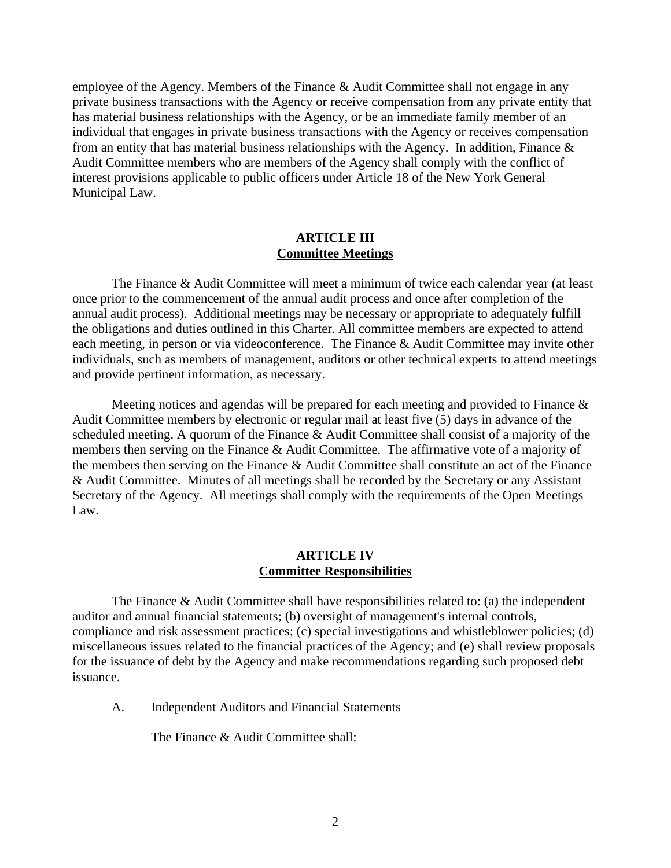employee of the Agency. Members of the Finance & Audit Committee shall not engage in any private business transactions with the Agency or receive compensation from any private entity that has material business relationships with the Agency, or be an immediate family member of an individual that engages in private business transactions with the Agency or receives compensation from an entity that has material business relationships with the Agency. In addition, Finance  $\&$ Audit Committee members who are members of the Agency shall comply with the conflict of interest provisions applicable to public officers under Article 18 of the New York General Municipal Law.

#### **ARTICLE III Committee Meetings**

The Finance & Audit Committee will meet a minimum of twice each calendar year (at least once prior to the commencement of the annual audit process and once after completion of the annual audit process). Additional meetings may be necessary or appropriate to adequately fulfill the obligations and duties outlined in this Charter. All committee members are expected to attend each meeting, in person or via videoconference. The Finance & Audit Committee may invite other individuals, such as members of management, auditors or other technical experts to attend meetings and provide pertinent information, as necessary.

Meeting notices and agendas will be prepared for each meeting and provided to Finance  $\&$ Audit Committee members by electronic or regular mail at least five (5) days in advance of the scheduled meeting. A quorum of the Finance & Audit Committee shall consist of a majority of the members then serving on the Finance & Audit Committee. The affirmative vote of a majority of the members then serving on the Finance & Audit Committee shall constitute an act of the Finance & Audit Committee. Minutes of all meetings shall be recorded by the Secretary or any Assistant Secretary of the Agency. All meetings shall comply with the requirements of the Open Meetings Law.

### **ARTICLE IV Committee Responsibilities**

The Finance  $\&$  Audit Committee shall have responsibilities related to: (a) the independent auditor and annual financial statements; (b) oversight of management's internal controls, compliance and risk assessment practices; (c) special investigations and whistleblower policies; (d) miscellaneous issues related to the financial practices of the Agency; and (e) shall review proposals for the issuance of debt by the Agency and make recommendations regarding such proposed debt issuance.

A. Independent Auditors and Financial Statements

The Finance & Audit Committee shall: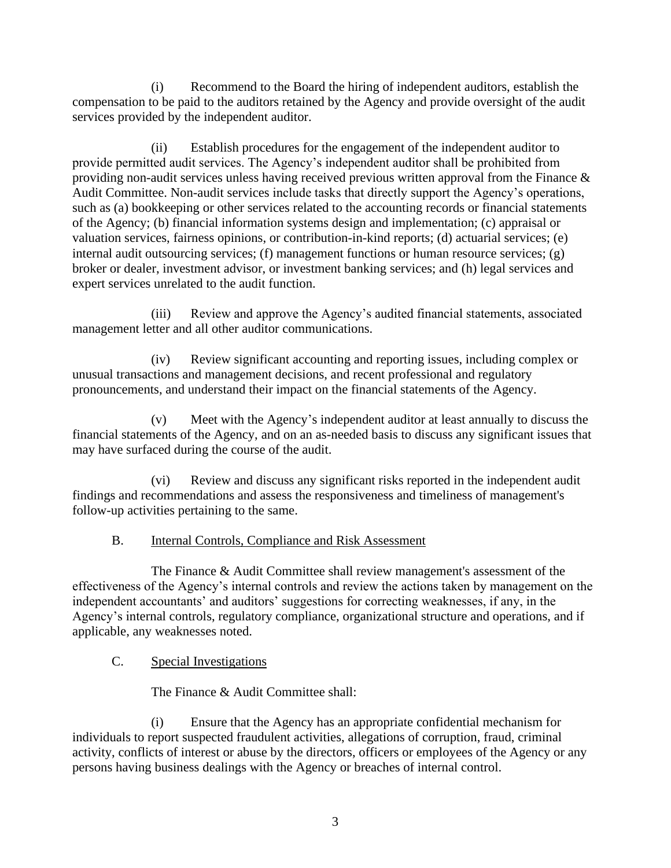(i) Recommend to the Board the hiring of independent auditors, establish the compensation to be paid to the auditors retained by the Agency and provide oversight of the audit services provided by the independent auditor.

(ii) Establish procedures for the engagement of the independent auditor to provide permitted audit services. The Agency's independent auditor shall be prohibited from providing non-audit services unless having received previous written approval from the Finance & Audit Committee. Non-audit services include tasks that directly support the Agency's operations, such as (a) bookkeeping or other services related to the accounting records or financial statements of the Agency; (b) financial information systems design and implementation; (c) appraisal or valuation services, fairness opinions, or contribution-in-kind reports; (d) actuarial services; (e) internal audit outsourcing services; (f) management functions or human resource services; (g) broker or dealer, investment advisor, or investment banking services; and (h) legal services and expert services unrelated to the audit function.

(iii) Review and approve the Agency's audited financial statements, associated management letter and all other auditor communications.

(iv) Review significant accounting and reporting issues, including complex or unusual transactions and management decisions, and recent professional and regulatory pronouncements, and understand their impact on the financial statements of the Agency.

(v) Meet with the Agency's independent auditor at least annually to discuss the financial statements of the Agency, and on an as-needed basis to discuss any significant issues that may have surfaced during the course of the audit.

(vi) Review and discuss any significant risks reported in the independent audit findings and recommendations and assess the responsiveness and timeliness of management's follow-up activities pertaining to the same.

## B. Internal Controls, Compliance and Risk Assessment

The Finance & Audit Committee shall review management's assessment of the effectiveness of the Agency's internal controls and review the actions taken by management on the independent accountants' and auditors' suggestions for correcting weaknesses, if any, in the Agency's internal controls, regulatory compliance, organizational structure and operations, and if applicable, any weaknesses noted.

## C. Special Investigations

The Finance & Audit Committee shall:

(i) Ensure that the Agency has an appropriate confidential mechanism for individuals to report suspected fraudulent activities, allegations of corruption, fraud, criminal activity, conflicts of interest or abuse by the directors, officers or employees of the Agency or any persons having business dealings with the Agency or breaches of internal control.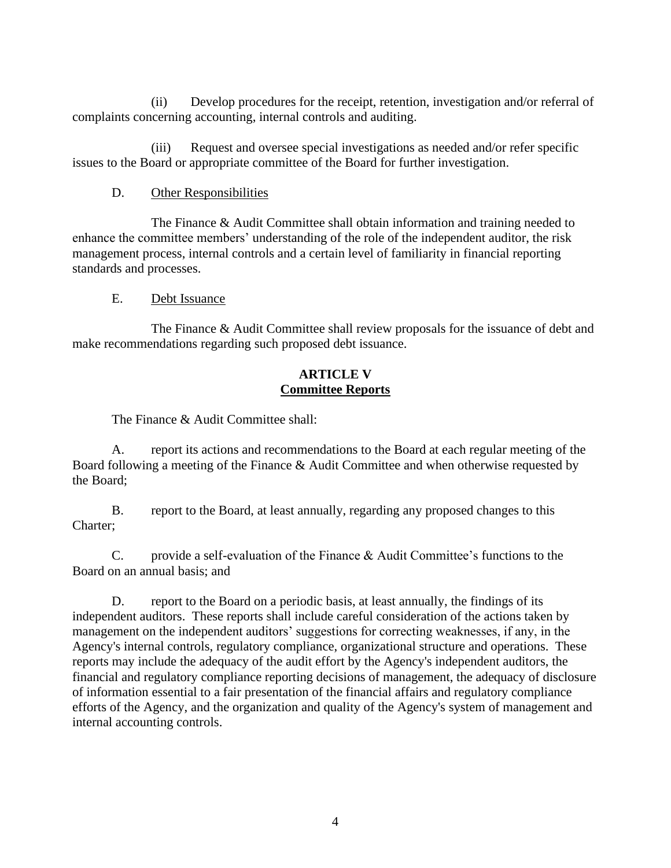(ii) Develop procedures for the receipt, retention, investigation and/or referral of complaints concerning accounting, internal controls and auditing.

(iii) Request and oversee special investigations as needed and/or refer specific issues to the Board or appropriate committee of the Board for further investigation.

# D. Other Responsibilities

The Finance & Audit Committee shall obtain information and training needed to enhance the committee members' understanding of the role of the independent auditor, the risk management process, internal controls and a certain level of familiarity in financial reporting standards and processes.

## E. Debt Issuance

The Finance & Audit Committee shall review proposals for the issuance of debt and make recommendations regarding such proposed debt issuance.

## **ARTICLE V Committee Reports**

The Finance & Audit Committee shall:

A. report its actions and recommendations to the Board at each regular meeting of the Board following a meeting of the Finance & Audit Committee and when otherwise requested by the Board;

B. report to the Board, at least annually, regarding any proposed changes to this Charter;

C. provide a self-evaluation of the Finance & Audit Committee's functions to the Board on an annual basis; and

D. report to the Board on a periodic basis, at least annually, the findings of its independent auditors. These reports shall include careful consideration of the actions taken by management on the independent auditors' suggestions for correcting weaknesses, if any, in the Agency's internal controls, regulatory compliance, organizational structure and operations. These reports may include the adequacy of the audit effort by the Agency's independent auditors, the financial and regulatory compliance reporting decisions of management, the adequacy of disclosure of information essential to a fair presentation of the financial affairs and regulatory compliance efforts of the Agency, and the organization and quality of the Agency's system of management and internal accounting controls.